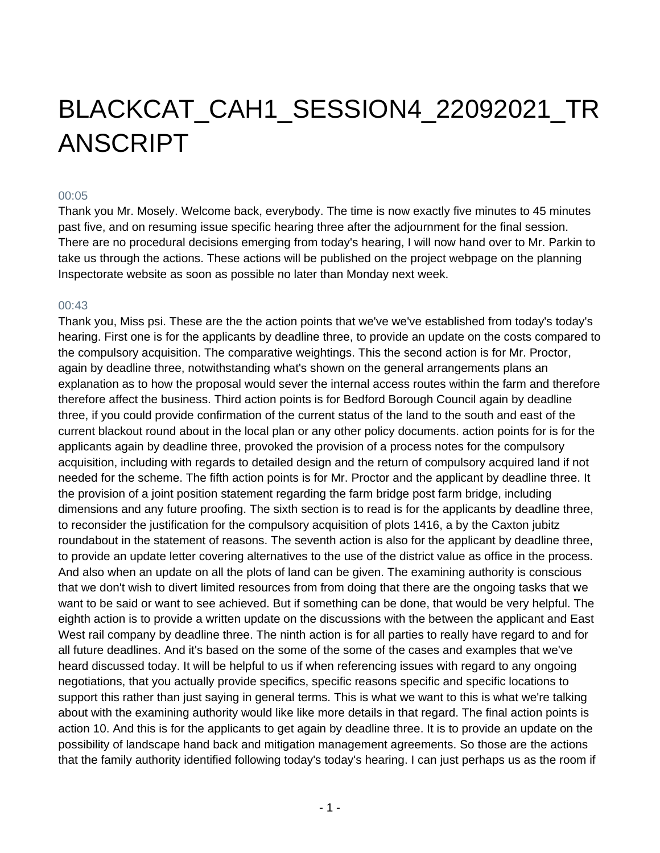## BLACKCAT\_CAH1\_SESSION4\_22092021\_TR ANSCRIPT

## 00:05

Thank you Mr. Mosely. Welcome back, everybody. The time is now exactly five minutes to 45 minutes past five, and on resuming issue specific hearing three after the adjournment for the final session. There are no procedural decisions emerging from today's hearing, I will now hand over to Mr. Parkin to take us through the actions. These actions will be published on the project webpage on the planning Inspectorate website as soon as possible no later than Monday next week.

## $00.43$

Thank you, Miss psi. These are the the action points that we've we've established from today's today's hearing. First one is for the applicants by deadline three, to provide an update on the costs compared to the compulsory acquisition. The comparative weightings. This the second action is for Mr. Proctor, again by deadline three, notwithstanding what's shown on the general arrangements plans an explanation as to how the proposal would sever the internal access routes within the farm and therefore therefore affect the business. Third action points is for Bedford Borough Council again by deadline three, if you could provide confirmation of the current status of the land to the south and east of the current blackout round about in the local plan or any other policy documents. action points for is for the applicants again by deadline three, provoked the provision of a process notes for the compulsory acquisition, including with regards to detailed design and the return of compulsory acquired land if not needed for the scheme. The fifth action points is for Mr. Proctor and the applicant by deadline three. It the provision of a joint position statement regarding the farm bridge post farm bridge, including dimensions and any future proofing. The sixth section is to read is for the applicants by deadline three, to reconsider the justification for the compulsory acquisition of plots 1416, a by the Caxton jubitz roundabout in the statement of reasons. The seventh action is also for the applicant by deadline three, to provide an update letter covering alternatives to the use of the district value as office in the process. And also when an update on all the plots of land can be given. The examining authority is conscious that we don't wish to divert limited resources from from doing that there are the ongoing tasks that we want to be said or want to see achieved. But if something can be done, that would be very helpful. The eighth action is to provide a written update on the discussions with the between the applicant and East West rail company by deadline three. The ninth action is for all parties to really have regard to and for all future deadlines. And it's based on the some of the some of the cases and examples that we've heard discussed today. It will be helpful to us if when referencing issues with regard to any ongoing negotiations, that you actually provide specifics, specific reasons specific and specific locations to support this rather than just saying in general terms. This is what we want to this is what we're talking about with the examining authority would like like more details in that regard. The final action points is action 10. And this is for the applicants to get again by deadline three. It is to provide an update on the possibility of landscape hand back and mitigation management agreements. So those are the actions that the family authority identified following today's today's hearing. I can just perhaps us as the room if